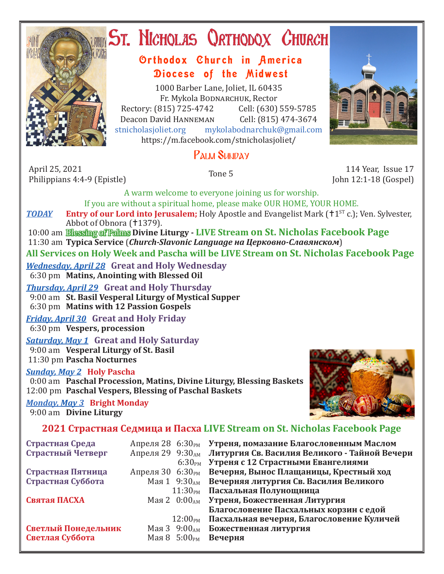

# ST. NICHOLAS QRTHODOX CHURCH

## Orthodox Church in America Diocese of the Midwest

1000 Barber Lane, Joliet, IL 60435 Fr. Mykola Bodnarchuk, Rector Rectory: (815) 725-4742 Cell: (630) 559-5785<br>Deacon David HANNEMAN Cell: (815) 474-3674 Deacon David Hanneman<br>stnicholasioliet.org myk mykolabodnarchuk@gmail.com https://m.facebook.com/stnicholasjoliet/

# PALM SUNDAY

April 25, 2021 April 25, 2021 114 Year, Issue 17<br>Philippians 4:4-9 (Epistle) Tone 5 114 Year, Issue 17

John 12:1-18 (Gospel)

A warm welcome to everyone joining us for worship. If you are without a spiritual home, please make OUR HOME, YOUR HOME.

*TODAY* Entry of our Lord into Jerusalem; Holy Apostle and Evangelist Mark (+1<sup>st</sup> c.); Ven. Sylvester, Abbot of Obnora (†1379).

 10:00 am Blessing of Palms **Divine Liturgy - LIVE Stream on St. Nicholas Facebook Page** 11:30 am **Typica Service** (*Church-Slavonic Language на Церковно-Славянском*) **All Services on Holy Week and Pascha will be LIVE Stream on St. Nicholas Facebook Page**

*Wednesday, April 28* **Great and Holy Wednesday** 6:30 pm **Matins, Anointing with Blessed Oil**

*Thursday, April 29* **Great and Holy Thursday** 9:00 am **St. Basil Vesperal Liturgy of Mystical Supper** 6:30 pm **Matins with 12 Passion Gospels**

*Friday, April 30* **Great and Holy Friday** 6:30 pm **Vespers, procession**

### *Saturday, May 1* **Great and Holy Saturday**

 9:00 am **Vesperal Liturgy of St. Basil** 11:30 pm **Pascha Nocturnes**

#### *Sunday, May 2* **Holy Pascha**

 0:00 am **Paschal Procession, Matins, Divine Liturgy, Blessing Baskets** 12:00 pm **Paschal Vespers, Blessing of Paschal Baskets**

*Monday, May 3* **Bright Monday** 9:00 am **Divine Liturgy**



## **2021 Страстная Седмица и Пасха LIVE Stream on St. Nicholas Facebook Page**

| Страстная Среда     |                          | Апреля 28 6:30 <sub>PM</sub> Утреня, помазание Благословенным Маслом |
|---------------------|--------------------------|----------------------------------------------------------------------|
| Страстный Четверг   |                          | Апреля 29 9:30AM Литургия Св. Василия Великого - Тайной Вечери       |
|                     |                          | 6:30 <sub>PM</sub> Утреня с 12 Страстными Евангелиями                |
| Страстная Пятница   | Апреля 30 $6:30_{PM}$    | Вечерня, Вынос Плащаницы, Крестный ход                               |
| Страстная Суббота   |                          | Мая 1 9:30 <sub>AM</sub> Вечерняя литургия Св. Василия Великого      |
|                     |                          | 11:30 <sub>PM</sub> Пасхальная Полунощница                           |
| Святая ПАСХА        |                          | Мая 2 0:00AM Утреня, Божественная Литургия                           |
|                     |                          | Благословение Пасхальных корзин с едой                               |
|                     | $12:00_{\rm PM}$         | Пасхальная вечерня, Благословение Куличей                            |
| Светлый Понедельник | Мая 3 $9:00_{AM}$        | Божественная литургия                                                |
| Светлая Суббота     | Мая 8 5:00 <sub>рм</sub> | Вечерня                                                              |
|                     |                          |                                                                      |